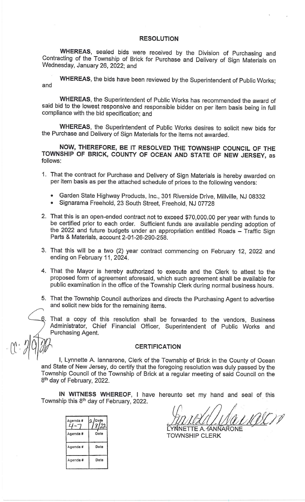#### **RESOLUTION**

WHEREAS, sealed bids were received by the Division of Purchasing and Contracting of the Township of Brick for Purchase and Delivery of Sign Materials on Wednesday, January 26, 2022; and

WHEREAS, the bids have been reviewed by the Superintendent of Public Works; and

WHEREAS, the Superintendent of Public Works has recommended the award of said bid to the lowest responsive and responsible bidder on per item basis being in full compliance with the bid specification; and

WHEREAS, the Superintendent of Public Works desires to solicit new bids for the Purchase and Delivery of Sign Materials for the items not awarded.

NOW, THEREFORE, BE IT RESOLVED THE TOWNSHIP COUNCIL OF THE TOWNSHIP OF BRICK, COUNTY OF OCEAN AND STATE OF NEW JERSEY, as follows:

- 1. That the contract for Purchase and Delivery of Sign Materials is hereby awarded on per item basis as per the attached schedule of prices to the following vendors:
	- Garden State Highway Products, Inc., 301 Riverside Drive, Millville, NJ 08332  $\bullet$
	- Signarama Freehold, 23 South Street, Freehold, NJ 07728
- 2. That this is an open-ended contract not to exceed \$70,000.00 per year with funds to be certified prior to each order. Sufficient funds are available pending adoption of the 2022 and future budgets under an appropriation entitled Roads - Traffic Sign Parts & Materials, account 2-01-26-290-258.
- 3. That this will be a two (2) year contract commencing on February 12, 2022 and ending on February 11, 2024.
- 4. That the Mayor is hereby authorized to execute and the Clerk to attest to the proposed form of agreement aforesaid, which such agreement shall be available for public examination in the office of the Township Clerk during normal business hours.
- 5. That the Township Council authorizes and directs the Purchasing Agent to advertise and solicit new bids for the remaining items.
- 6. That a copy of this resolution shall be forwarded to the vendors, Business Administrator, Chief Financial Officer, Superintendent of Public Works and Purchasing Agent.

#### **CERTIFICATION**

I, Lynnette A. lannarone, Clerk of the Township of Brick in the County of Ocean and State of New Jersey, do certify that the foregoing resolution was duly passed by the Township Council of the Township of Brick at a regular meeting of said Council on the 8<sup>th</sup> day of February, 2022.

IN WITNESS WHEREOF, I have hereunto set my hand and seal of this Township this 8<sup>th</sup> day of February, 2022.

| Agenda# | Date |
|---------|------|
| Agenda# | Date |
| Agenda# | Date |
| Agenda# | Date |

DOS 'NNETTE A. TANÑARONE

**TOWNSHIP CLERK**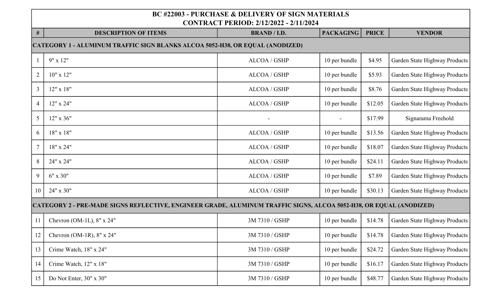| $\#$           | <b>DESCRIPTION OF ITEMS</b>                                                                                         | <b>BRAND / I.D.</b> | <b>PACKAGING</b> | <b>PRICE</b> | <b>VENDOR</b>                 |  |  |  |
|----------------|---------------------------------------------------------------------------------------------------------------------|---------------------|------------------|--------------|-------------------------------|--|--|--|
|                | CATEGORY 1 - ALUMINUM TRAFFIC SIGN BLANKS ALCOA 5052-H38, OR EQUAL (ANODIZED)                                       |                     |                  |              |                               |  |  |  |
|                | $9'' \times 12''$                                                                                                   | ALCOA / GSHP        | 10 per bundle    | \$4.95       | Garden State Highway Products |  |  |  |
| $\overline{2}$ | $10"$ x $12"$                                                                                                       | ALCOA / GSHP        | 10 per bundle    | \$5.93       | Garden State Highway Products |  |  |  |
| $\mathfrak{Z}$ | 12" x 18"                                                                                                           | ALCOA / GSHP        | 10 per bundle    | \$8.76       | Garden State Highway Products |  |  |  |
| $\overline{4}$ | 12" x 24"                                                                                                           | ALCOA / GSHP        | 10 per bundle    | \$12.05      | Garden State Highway Products |  |  |  |
| 5              | 12" x 36"                                                                                                           |                     | $\blacksquare$   | \$17.99      | Signarama Freehold            |  |  |  |
| 6              | $18" \times 18"$                                                                                                    | ALCOA / GSHP        | 10 per bundle    | \$13.56      | Garden State Highway Products |  |  |  |
| $\tau$         | 18" x 24"                                                                                                           | ALCOA / GSHP        | 10 per bundle    | \$18.07      | Garden State Highway Products |  |  |  |
| 8              | 24" x 24"                                                                                                           | ALCOA / GSHP        | 10 per bundle    | \$24.11      | Garden State Highway Products |  |  |  |
| 9              | $6" \times 30"$                                                                                                     | ALCOA / GSHP        | 10 per bundle    | \$7.89       | Garden State Highway Products |  |  |  |
| 10             | 24" x 30"                                                                                                           | ALCOA / GSHP        | 10 per bundle    | \$30.13      | Garden State Highway Products |  |  |  |
|                | CATEGORY 2 - PRE-MADE SIGNS REFLECTIVE, ENGINEER GRADE, ALUMINUM TRAFFIC SIGNS, ALCOA 5052-H38, OR EQUAL (ANODIZED) |                     |                  |              |                               |  |  |  |
| 11             | Chevron (OM-1L), $8'' \times 24''$                                                                                  | 3M 7310 / GSHP      | 10 per bundle    | \$14.78      | Garden State Highway Products |  |  |  |
| 12             | Chevron (OM-1R), $8" \times 24"$                                                                                    | 3M 7310 / GSHP      | 10 per bundle    | \$14.78      | Garden State Highway Products |  |  |  |
| 13             | Crime Watch, 18" x 24"                                                                                              | 3M 7310 / GSHP      | 10 per bundle    | \$24.72      | Garden State Highway Products |  |  |  |
| 14             | Crime Watch, 12" x 18"                                                                                              | 3M 7310 / GSHP      | 10 per bundle    | \$16.17      | Garden State Highway Products |  |  |  |
| 15             | Do Not Enter, 30" x 30"                                                                                             | 3M 7310 / GSHP      | 10 per bundle    | \$48.77      | Garden State Highway Products |  |  |  |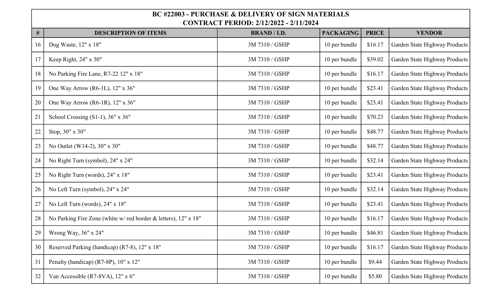| $\#$ | <b>DESCRIPTION OF ITEMS</b>                                    | <b>BRAND / I.D.</b> | <b>PACKAGING</b> | <b>PRICE</b> | <b>VENDOR</b>                 |
|------|----------------------------------------------------------------|---------------------|------------------|--------------|-------------------------------|
| 16   | Dog Waste, 12" x 18"                                           | 3M 7310 / GSHP      | 10 per bundle    | \$16.17      | Garden State Highway Products |
| 17   | Keep Right, 24" x 30"                                          | 3M 7310 / GSHP      | 10 per bundle    | \$39.02      | Garden State Highway Products |
| 18   | No Parking Fire Lane, R7-22 12" x 18"                          | 3M 7310 / GSHP      | 10 per bundle    | \$16.17      | Garden State Highway Products |
| 19   | One Way Arrow (R6-1L), 12" x 36"                               | 3M 7310 / GSHP      | 10 per bundle    | \$23.41      | Garden State Highway Products |
| 20   | One Way Arrow (R6-1R), 12" x 36"                               | 3M 7310 / GSHP      | 10 per bundle    | \$23.41      | Garden State Highway Products |
| 21   | School Crossing $(S1-1)$ , 36" x 36"                           | 3M 7310 / GSHP      | 10 per bundle    | \$70.23      | Garden State Highway Products |
| 22   | Stop, 30" x 30"                                                | 3M 7310 / GSHP      | 10 per bundle    | \$48.77      | Garden State Highway Products |
| 23   | No Outlet (W14-2), 30" x 30"                                   | 3M 7310 / GSHP      | 10 per bundle    | \$48.77      | Garden State Highway Products |
| 24   | No Right Turn (symbol), 24" x 24"                              | 3M 7310 / GSHP      | 10 per bundle    | \$32.14      | Garden State Highway Products |
| 25   | No Right Turn (words), 24" x 18"                               | 3M 7310 / GSHP      | 10 per bundle    | \$23.41      | Garden State Highway Products |
| 26   | No Left Turn (symbol), 24" x 24"                               | 3M 7310 / GSHP      | 10 per bundle    | \$32.14      | Garden State Highway Products |
| 27   | No Left Turn (words), 24" x 18"                                | 3M 7310 / GSHP      | 10 per bundle    | \$23.41      | Garden State Highway Products |
| 28   | No Parking Fire Zone (white w/red border & letters), 12" x 18" | 3M 7310 / GSHP      | 10 per bundle    | \$16.17      | Garden State Highway Products |
| 29   | Wrong Way, 36" x 24"                                           | 3M 7310 / GSHP      | 10 per bundle    | \$46.81      | Garden State Highway Products |
| 30   | Reserved Parking (handicap) (R7-8), 12" x 18"                  | 3M 7310 / GSHP      | 10 per bundle    | \$16.17      | Garden State Highway Products |
| 31   | Penalty (handicap) (R7-8P), 10" x 12"                          | 3M 7310 / GSHP      | 10 per bundle    | \$9.44       | Garden State Highway Products |
| 32   | Van Accessible (R7-8VA), 12" x 6"                              | 3M 7310 / GSHP      | 10 per bundle    | \$5.80       | Garden State Highway Products |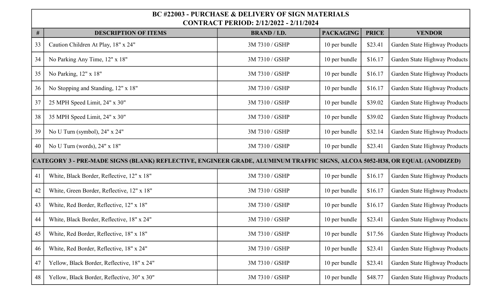| $\#$ | <b>DESCRIPTION OF ITEMS</b>                                                                                                 | <b>BRAND / I.D.</b> | <b>PACKAGING</b> | <b>PRICE</b> | <b>VENDOR</b>                 |
|------|-----------------------------------------------------------------------------------------------------------------------------|---------------------|------------------|--------------|-------------------------------|
| 33   | Caution Children At Play, 18" x 24"                                                                                         | 3M 7310 / GSHP      | 10 per bundle    | \$23.41      | Garden State Highway Products |
| 34   | No Parking Any Time, 12" x 18"                                                                                              | 3M 7310 / GSHP      | 10 per bundle    | \$16.17      | Garden State Highway Products |
| 35   | No Parking, 12" x 18"                                                                                                       | 3M 7310 / GSHP      | 10 per bundle    | \$16.17      | Garden State Highway Products |
| 36   | No Stopping and Standing, 12" x 18"                                                                                         | 3M 7310 / GSHP      | 10 per bundle    | \$16.17      | Garden State Highway Products |
| 37   | 25 MPH Speed Limit, 24" x 30"                                                                                               | 3M 7310 / GSHP      | 10 per bundle    | \$39.02      | Garden State Highway Products |
| 38   | 35 MPH Speed Limit, 24" x 30"                                                                                               | 3M 7310 / GSHP      | 10 per bundle    | \$39.02      | Garden State Highway Products |
| 39   | No U Turn (symbol), 24" x 24"                                                                                               | 3M 7310 / GSHP      | 10 per bundle    | \$32.14      | Garden State Highway Products |
| 40   | No U Turn (words), 24" x 18"                                                                                                | 3M 7310 / GSHP      | 10 per bundle    | \$23.41      | Garden State Highway Products |
|      | CATEGORY 3 - PRE-MADE SIGNS (BLANK) REFLECTIVE, ENGINEER GRADE, ALUMINUM TRAFFIC SIGNS, ALCOA 5052-H38, OR EQUAL (ANODIZED) |                     |                  |              |                               |
| 41   | White, Black Border, Reflective, 12" x 18"                                                                                  | 3M 7310 / GSHP      | 10 per bundle    | \$16.17      | Garden State Highway Products |
| 42   | White, Green Border, Reflective, 12" x 18"                                                                                  | 3M 7310 / GSHP      | 10 per bundle    | \$16.17      | Garden State Highway Products |
| 43   | White, Red Border, Reflective, 12" x 18"                                                                                    | 3M 7310 / GSHP      | 10 per bundle    | \$16.17      | Garden State Highway Products |
| 44   | White, Black Border, Reflective, 18" x 24"                                                                                  | 3M 7310 / GSHP      | 10 per bundle    | \$23.41      | Garden State Highway Products |
| 45   | White, Red Border, Reflective, 18" x 18"                                                                                    | 3M 7310 / GSHP      | 10 per bundle    | \$17.56      | Garden State Highway Products |
| 46   | White, Red Border, Reflective, 18" x 24"                                                                                    | 3M 7310 / GSHP      | 10 per bundle    | \$23.41      | Garden State Highway Products |
| 47   | Yellow, Black Border, Reflective, 18" x 24"                                                                                 | 3M 7310 / GSHP      | 10 per bundle    | \$23.41      | Garden State Highway Products |
| 48   | Yellow, Black Border, Reflective, 30" x 30"                                                                                 | 3M 7310 / GSHP      | 10 per bundle    | \$48.77      | Garden State Highway Products |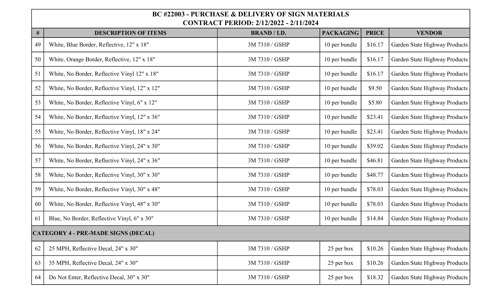| $\#$ | <b>DESCRIPTION OF ITEMS</b>                   | <b>BRAND / I.D.</b> | <b>PACKAGING</b> | <b>PRICE</b> | <b>VENDOR</b>                 |
|------|-----------------------------------------------|---------------------|------------------|--------------|-------------------------------|
| 49   | White, Blue Border, Reflective, 12" x 18"     | 3M 7310 / GSHP      | 10 per bundle    | \$16.17      | Garden State Highway Products |
| 50   | White, Orange Border, Reflective, 12" x 18"   | 3M 7310 / GSHP      | 10 per bundle    | \$16.17      | Garden State Highway Products |
| 51   | White, No Border, Reflective Vinyl 12" x 18"  | 3M 7310 / GSHP      | 10 per bundle    | \$16.17      | Garden State Highway Products |
| 52   | White, No Border, Reflective Vinyl, 12" x 12" | 3M 7310 / GSHP      | 10 per bundle    | \$9.50       | Garden State Highway Products |
| 53   | White, No Border, Reflective Vinyl, 6" x 12"  | 3M 7310 / GSHP      | 10 per bundle    | \$5.80       | Garden State Highway Products |
| 54   | White, No Border, Reflective Vinyl, 12" x 36" | 3M 7310 / GSHP      | 10 per bundle    | \$23.41      | Garden State Highway Products |
| 55   | White, No Border, Reflective Vinyl, 18" x 24" | 3M 7310 / GSHP      | 10 per bundle    | \$23.41      | Garden State Highway Products |
| 56   | White, No Border, Reflective Vinyl, 24" x 30" | 3M 7310 / GSHP      | 10 per bundle    | \$39.02      | Garden State Highway Products |
| 57   | White, No Border, Reflective Vinyl, 24" x 36" | 3M 7310 / GSHP      | 10 per bundle    | \$46.81      | Garden State Highway Products |
| 58   | White, No Border, Reflective Vinyl, 30" x 30" | 3M 7310 / GSHP      | 10 per bundle    | \$48.77      | Garden State Highway Products |
| 59   | White, No Border, Reflective Vinyl, 30" x 48" | 3M 7310 / GSHP      | 10 per bundle    | \$78.03      | Garden State Highway Products |
| 60   | White, No Border, Reflective Vinyl, 48" x 30" | 3M 7310 / GSHP      | 10 per bundle    | \$78.03      | Garden State Highway Products |
| 61   | Blue, No Border, Reflective Vinyl, 6" x 30"   | 3M 7310 / GSHP      | 10 per bundle    | \$14.84      | Garden State Highway Products |
|      | <b>CATEGORY 4 - PRE-MADE SIGNS (DECAL)</b>    |                     |                  |              |                               |
| 62   | 25 MPH, Reflective Decal, 24" x 30"           | 3M 7310 / GSHP      | 25 per box       | \$10.26      | Garden State Highway Products |
| 63   | 35 MPH, Reflective Decal, 24" x 30"           | 3M 7310 / GSHP      | 25 per box       | \$10.26      | Garden State Highway Products |
| 64   | Do Not Enter, Reflective Decal, 30" x 30"     | 3M 7310 / GSHP      | 25 per box       | \$18.32      | Garden State Highway Products |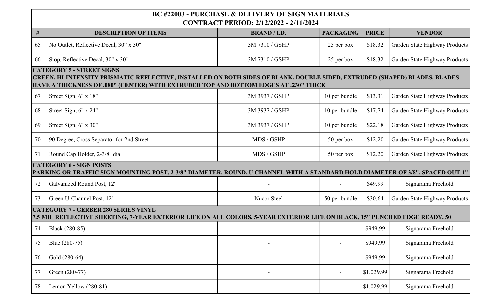| $\#$ | <b>DESCRIPTION OF ITEMS</b>                                                                                                                                               | <b>BRAND</b> / <b>I.D.</b> | <b>PACKAGING</b> | <b>PRICE</b> | <b>VENDOR</b>                 |
|------|---------------------------------------------------------------------------------------------------------------------------------------------------------------------------|----------------------------|------------------|--------------|-------------------------------|
| 65   | No Outlet, Reflective Decal, 30" x 30"                                                                                                                                    | 3M 7310 / GSHP             | 25 per box       | \$18.32      | Garden State Highway Products |
| 66   | Stop, Reflective Decal, 30" x 30"                                                                                                                                         | 3M 7310 / GSHP             | 25 per box       | \$18.32      | Garden State Highway Products |
|      | <b>CATEGORY 5 - STREET SIGNS</b><br>GREEN, HI-INTENSITY PRISMATIC REFLECTIVE, INSTALLED ON BOTH SIDES OF BLANK, DOUBLE SIDED, EXTRUDED (SHAPED) BLADES, BLADES            |                            |                  |              |                               |
|      | HAVE A THICKNESS OF .080" (CENTER) WITH EXTRUDED TOP AND BOTTOM EDGES AT .230" THICK                                                                                      |                            |                  |              |                               |
| 67   | Street Sign, 6" x 18"                                                                                                                                                     | 3M 3937 / GSHP             | 10 per bundle    | \$13.31      | Garden State Highway Products |
| 68   | Street Sign, 6" x 24"                                                                                                                                                     | 3M 3937 / GSHP             | 10 per bundle    | \$17.74      | Garden State Highway Products |
| 69   | Street Sign, 6" x 30"                                                                                                                                                     | 3M 3937 / GSHP             | 10 per bundle    | \$22.18      | Garden State Highway Products |
| 70   | 90 Degree, Cross Separator for 2nd Street                                                                                                                                 | MDS / GSHP                 | 50 per box       | \$12.20      | Garden State Highway Products |
| 71   | Round Cap Holder, 2-3/8" dia.                                                                                                                                             | MDS / GSHP                 | 50 per box       | \$12.20      | Garden State Highway Products |
|      | <b>CATEGORY 6 - SIGN POSTS</b><br>PARKING OR TRAFFIC SIGN MOUNTING POST, 2-3/8" DIAMETER, ROUND, U CHANNEL WITH A STANDARD HOLD DIAMETER OF 3/8", SPACED OUT 1"           |                            |                  |              |                               |
| 72   | Galvanized Round Post, 12'                                                                                                                                                |                            |                  | \$49.99      | Signarama Freehold            |
| 73   | Green U-Channel Post, 12'                                                                                                                                                 | Nucor Steel                | 50 per bundle    | \$30.64      | Garden State Highway Products |
|      | <b>CATEGORY 7 - GERBER 280 SERIES VINYL</b><br>7.5 MIL REFLECTIVE SHEETING, 7-YEAR EXTERIOR LIFE ON ALL COLORS, 5-YEAR EXTERIOR LIFE ON BLACK, 15" PUNCHED EDGE READY, 50 |                            |                  |              |                               |
| 74   | Black (280-85)                                                                                                                                                            |                            |                  | \$949.99     | Signarama Freehold            |
| 75   | Blue (280-75)                                                                                                                                                             |                            |                  | \$949.99     | Signarama Freehold            |
| 76   | Gold (280-64)                                                                                                                                                             |                            |                  | \$949.99     | Signarama Freehold            |
| 77   | Green (280-77)                                                                                                                                                            |                            |                  | \$1,029.99   | Signarama Freehold            |
| 78   | Lemon Yellow (280-81)                                                                                                                                                     |                            | $\overline{a}$   | \$1,029.99   | Signarama Freehold            |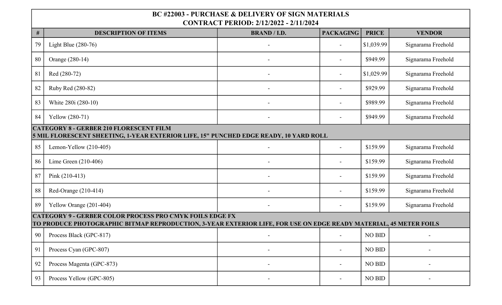| $\#$ | <b>DESCRIPTION OF ITEMS</b>                                                                                                                                                          | <b>BRAND / I.D.</b> | <b>PACKAGING</b> | <b>PRICE</b>  | <b>VENDOR</b>      |  |  |  |
|------|--------------------------------------------------------------------------------------------------------------------------------------------------------------------------------------|---------------------|------------------|---------------|--------------------|--|--|--|
| 79   | Light Blue $(280-76)$                                                                                                                                                                |                     |                  | \$1,039.99    | Signarama Freehold |  |  |  |
| 80   | Orange (280-14)                                                                                                                                                                      |                     |                  | \$949.99      | Signarama Freehold |  |  |  |
| 81   | Red (280-72)                                                                                                                                                                         |                     |                  | \$1,029.99    | Signarama Freehold |  |  |  |
| 82   | Ruby Red (280-82)                                                                                                                                                                    |                     |                  | \$929.99      | Signarama Freehold |  |  |  |
| 83   | White 280i (280-10)                                                                                                                                                                  |                     |                  | \$989.99      | Signarama Freehold |  |  |  |
| 84   | Yellow (280-71)                                                                                                                                                                      |                     | $\sim$           | \$949.99      | Signarama Freehold |  |  |  |
|      | <b>CATEGORY 8 - GERBER 210 FLORESCENT FILM</b><br>5 MIL FLORESCENT SHEETING, 1-YEAR EXTERIOR LIFE, 15" PUNCHED EDGE READY, 10 YARD ROLL                                              |                     |                  |               |                    |  |  |  |
| 85   | Lemon-Yellow $(210-405)$                                                                                                                                                             |                     | $\overline{a}$   | \$159.99      | Signarama Freehold |  |  |  |
| 86   | Lime Green $(210-406)$                                                                                                                                                               |                     |                  | \$159.99      | Signarama Freehold |  |  |  |
| 87   | Pink $(210-413)$                                                                                                                                                                     |                     |                  | \$159.99      | Signarama Freehold |  |  |  |
| 88   | Red-Orange (210-414)                                                                                                                                                                 |                     |                  | \$159.99      | Signarama Freehold |  |  |  |
| 89   | Yellow Orange (201-404)                                                                                                                                                              |                     |                  | \$159.99      | Signarama Freehold |  |  |  |
|      | <b>CATEGORY 9 - GERBER COLOR PROCESS PRO CMYK FOILS EDGE FX</b><br>TO PRODUCE PHOTOGRAPHIC BITMAP REPRODUCTION, 3-YEAR EXTERIOR LIFE, FOR USE ON EDGE READY MATERIAL, 45 METER FOILS |                     |                  |               |                    |  |  |  |
| 90   | Process Black (GPC-817)                                                                                                                                                              |                     |                  | <b>NO BID</b> |                    |  |  |  |
| 91   | Process Cyan (GPC-807)                                                                                                                                                               |                     |                  | NO BID        |                    |  |  |  |
| 92   | Process Magenta (GPC-873)                                                                                                                                                            |                     |                  | <b>NO BID</b> |                    |  |  |  |
| 93   | Process Yellow (GPC-805)                                                                                                                                                             |                     |                  | <b>NO BID</b> |                    |  |  |  |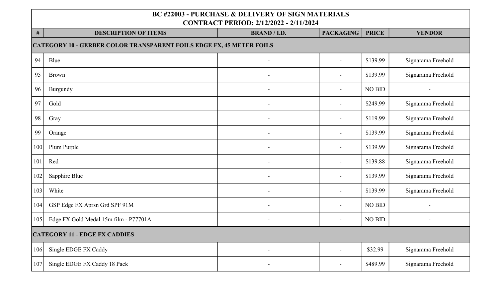|     | <b>BC #22003 - PURCHASE &amp; DELIVERY OF SIGN MATERIALS</b><br><b>CONTRACT PERIOD: 2/12/2022 - 2/11/2024</b> |                              |                          |               |                    |  |  |  |
|-----|---------------------------------------------------------------------------------------------------------------|------------------------------|--------------------------|---------------|--------------------|--|--|--|
| #   | <b>DESCRIPTION OF ITEMS</b>                                                                                   | <b>BRAND / I.D.</b>          | <b>PACKAGING</b>         | <b>PRICE</b>  | <b>VENDOR</b>      |  |  |  |
|     | <b>CATEGORY 10 - GERBER COLOR TRANSPARENT FOILS EDGE FX, 45 METER FOILS</b>                                   |                              |                          |               |                    |  |  |  |
| 94  | Blue                                                                                                          |                              |                          | \$139.99      | Signarama Freehold |  |  |  |
| 95  | <b>Brown</b>                                                                                                  | $\qquad \qquad \blacksquare$ | $\overline{\phantom{a}}$ | \$139.99      | Signarama Freehold |  |  |  |
| 96  | Burgundy                                                                                                      | $\overline{\phantom{0}}$     |                          | NO BID        |                    |  |  |  |
| 97  | Gold                                                                                                          | -                            |                          | \$249.99      | Signarama Freehold |  |  |  |
| 98  | Gray                                                                                                          |                              |                          | \$119.99      | Signarama Freehold |  |  |  |
| 99  | Orange                                                                                                        | ۰                            |                          | \$139.99      | Signarama Freehold |  |  |  |
| 100 | Plum Purple                                                                                                   | -                            |                          | \$139.99      | Signarama Freehold |  |  |  |
| 101 | Red                                                                                                           | -                            |                          | \$139.88      | Signarama Freehold |  |  |  |
| 102 | Sapphire Blue                                                                                                 | $\qquad \qquad \blacksquare$ |                          | \$139.99      | Signarama Freehold |  |  |  |
| 103 | White                                                                                                         | $\overline{a}$               |                          | \$139.99      | Signarama Freehold |  |  |  |
| 104 | GSP Edge FX Aprsn Grd SPF 91M                                                                                 | $\qquad \qquad \blacksquare$ |                          | <b>NO BID</b> |                    |  |  |  |
| 105 | Edge FX Gold Medal 15m film - P77701A                                                                         | $\qquad \qquad \blacksquare$ |                          | NO BID        |                    |  |  |  |
|     | <b>CATEGORY 11 - EDGE FX CADDIES</b>                                                                          |                              |                          |               |                    |  |  |  |
| 106 | Single EDGE FX Caddy                                                                                          | $\qquad \qquad \blacksquare$ |                          | \$32.99       | Signarama Freehold |  |  |  |
| 107 | Single EDGE FX Caddy 18 Pack                                                                                  | -                            |                          | \$489.99      | Signarama Freehold |  |  |  |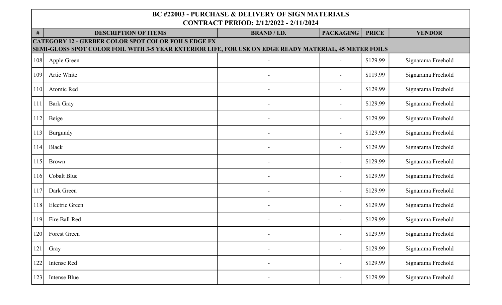| #   | <b>DESCRIPTION OF ITEMS</b>                                                                                                                                          | <b>BRAND / I.D.</b>      | <b>PACKAGING</b>         | <b>PRICE</b> | <b>VENDOR</b>      |  |  |  |
|-----|----------------------------------------------------------------------------------------------------------------------------------------------------------------------|--------------------------|--------------------------|--------------|--------------------|--|--|--|
|     | <b>CATEGORY 12 - GERBER COLOR SPOT COLOR FOILS EDGE FX</b><br>SEMI-GLOSS SPOT COLOR FOIL WITH 3-5 YEAR EXTERIOR LIFE, FOR USE ON EDGE READY MATERIAL, 45 METER FOILS |                          |                          |              |                    |  |  |  |
|     |                                                                                                                                                                      |                          |                          |              |                    |  |  |  |
| 108 | Apple Green                                                                                                                                                          |                          |                          | \$129.99     | Signarama Freehold |  |  |  |
| 109 | Artic White                                                                                                                                                          |                          |                          | \$119.99     | Signarama Freehold |  |  |  |
| 110 | Atomic Red                                                                                                                                                           | $\overline{\phantom{0}}$ | $\overline{a}$           | \$129.99     | Signarama Freehold |  |  |  |
| 111 | <b>Bark Gray</b>                                                                                                                                                     | $\overline{\phantom{a}}$ | $\overline{\phantom{a}}$ | \$129.99     | Signarama Freehold |  |  |  |
| 112 | Beige                                                                                                                                                                |                          | $\overline{\phantom{0}}$ | \$129.99     | Signarama Freehold |  |  |  |
| 113 | Burgundy                                                                                                                                                             |                          |                          | \$129.99     | Signarama Freehold |  |  |  |
| 114 | <b>Black</b>                                                                                                                                                         |                          |                          | \$129.99     | Signarama Freehold |  |  |  |
| 115 | Brown                                                                                                                                                                |                          |                          | \$129.99     | Signarama Freehold |  |  |  |
| 116 | Cobalt Blue                                                                                                                                                          |                          |                          | \$129.99     | Signarama Freehold |  |  |  |
| 117 | Dark Green                                                                                                                                                           |                          |                          | \$129.99     | Signarama Freehold |  |  |  |
| 118 | <b>Electric Green</b>                                                                                                                                                |                          |                          | \$129.99     | Signarama Freehold |  |  |  |
| 119 | Fire Ball Red                                                                                                                                                        |                          |                          | \$129.99     | Signarama Freehold |  |  |  |
| 120 | Forest Green                                                                                                                                                         |                          |                          | \$129.99     | Signarama Freehold |  |  |  |
| 121 | Gray                                                                                                                                                                 | $\overline{\phantom{m}}$ | $\blacksquare$           | \$129.99     | Signarama Freehold |  |  |  |
| 122 | Intense Red                                                                                                                                                          |                          | $\blacksquare$           | \$129.99     | Signarama Freehold |  |  |  |
| 123 | Intense Blue                                                                                                                                                         |                          |                          | \$129.99     | Signarama Freehold |  |  |  |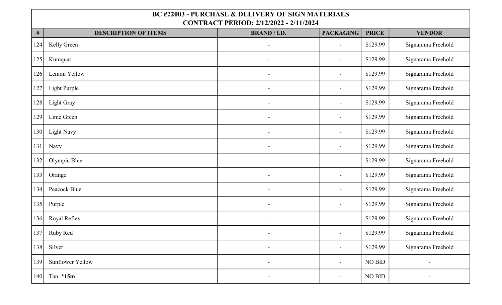| $\#$ | <b>DESCRIPTION OF ITEMS</b> | <b>BRAND / I.D.</b>      | <b>PACKAGING</b>         | <b>PRICE</b>  | <b>VENDOR</b>            |
|------|-----------------------------|--------------------------|--------------------------|---------------|--------------------------|
| 124  | Kelly Green                 | $\overline{\phantom{0}}$ | $\blacksquare$           | \$129.99      | Signarama Freehold       |
| 125  | Kumquat                     |                          | $\blacksquare$           | \$129.99      | Signarama Freehold       |
| 126  | Lemon Yellow                |                          | $\blacksquare$           | \$129.99      | Signarama Freehold       |
| 127  | Light Purple                |                          | $\overline{\phantom{a}}$ | \$129.99      | Signarama Freehold       |
| 128  | Light Gray                  | $\overline{\phantom{0}}$ | $\blacksquare$           | \$129.99      | Signarama Freehold       |
| 129  | Lime Green                  | $\overline{\phantom{a}}$ | $\blacksquare$           | \$129.99      | Signarama Freehold       |
| 130  | <b>Light Navy</b>           | $\overline{a}$           | $\blacksquare$           | \$129.99      | Signarama Freehold       |
| 131  | Navy                        | $\overline{a}$           | $\overline{\phantom{a}}$ | \$129.99      | Signarama Freehold       |
| 132  | Olympic Blue                | $\blacksquare$           | $\blacksquare$           | \$129.99      | Signarama Freehold       |
| 133  | Orange                      |                          |                          | \$129.99      | Signarama Freehold       |
| 134  | Peacock Blue                |                          | $\blacksquare$           | \$129.99      | Signarama Freehold       |
| 135  | Purple                      |                          | $\overline{\phantom{0}}$ | \$129.99      | Signarama Freehold       |
| 136  | Royal Reflex                | L.                       | $\blacksquare$           | \$129.99      | Signarama Freehold       |
| 137  | Ruby Red                    | L.                       | $\overline{\phantom{a}}$ | \$129.99      | Signarama Freehold       |
| 138  | Silver                      | $\overline{\phantom{0}}$ | $\overline{\phantom{a}}$ | \$129.99      | Signarama Freehold       |
| 139  | <b>Sunflower Yellow</b>     | $\overline{a}$           | $\blacksquare$           | <b>NO BID</b> | $\overline{\phantom{a}}$ |
| 140  | Tan *15m                    | $\overline{a}$           | $\overline{\phantom{a}}$ | <b>NO BID</b> |                          |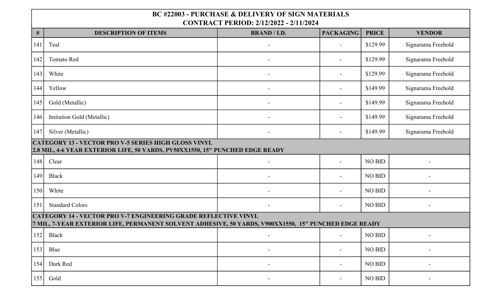| $\#$                                                                                                                                         | <b>DESCRIPTION OF ITEMS</b>                                                                                                                                                     | <b>BRAND / I.D.</b>      | <b>PACKAGING</b> | <b>PRICE</b>  | <b>VENDOR</b>      |  |
|----------------------------------------------------------------------------------------------------------------------------------------------|---------------------------------------------------------------------------------------------------------------------------------------------------------------------------------|--------------------------|------------------|---------------|--------------------|--|
| 141                                                                                                                                          | Teal                                                                                                                                                                            |                          |                  | \$129.99      | Signarama Freehold |  |
| 142                                                                                                                                          | Tomato Red                                                                                                                                                                      |                          |                  | \$129.99      | Signarama Freehold |  |
| 143                                                                                                                                          | White                                                                                                                                                                           |                          |                  | \$129.99      | Signarama Freehold |  |
| 144                                                                                                                                          | Yellow                                                                                                                                                                          |                          |                  | \$149.99      | Signarama Freehold |  |
| 145                                                                                                                                          | Gold (Metallic)                                                                                                                                                                 |                          |                  | \$149.99      | Signarama Freehold |  |
| 146                                                                                                                                          | Imitation Gold (Metallic)                                                                                                                                                       |                          |                  | \$149.99      | Signarama Freehold |  |
| 147                                                                                                                                          | Silver (Metallic)                                                                                                                                                               | $\blacksquare$           |                  | \$149.99      | Signarama Freehold |  |
| <b>CATEGORY 13 - VECTOR PRO V-5 SERIES HIGH GLOSS VINYL</b><br>2.8 MIL, 4-6 YEAR EXTERIOR LIFE, 50 YARDS, PV50XX1550, 15" PUNCHED EDGE READY |                                                                                                                                                                                 |                          |                  |               |                    |  |
| 148                                                                                                                                          | Clear                                                                                                                                                                           |                          | $\overline{a}$   | <b>NO BID</b> |                    |  |
| 149                                                                                                                                          | <b>Black</b>                                                                                                                                                                    |                          |                  | <b>NO BID</b> |                    |  |
| 150                                                                                                                                          | White                                                                                                                                                                           |                          |                  | <b>NO BID</b> |                    |  |
| 151                                                                                                                                          | <b>Standard Colors</b>                                                                                                                                                          |                          |                  | <b>NO BID</b> |                    |  |
|                                                                                                                                              | <b>CATEGORY 14 - VECTOR PRO V-7 ENGINEERING GRADE REFLECTIVE VINYL</b><br>7 MIL, 7-YEAR EXTERIOR LIFE, PERMANENT SOLVENT ADHESIVE, 50 YARDS, V900XX1550, 15" PUNCHED EDGE READY |                          |                  |               |                    |  |
| 152                                                                                                                                          | <b>Black</b>                                                                                                                                                                    |                          |                  | NO BID        |                    |  |
| 153                                                                                                                                          | Blue                                                                                                                                                                            | $\overline{\phantom{a}}$ |                  | NO BID        |                    |  |
| 154                                                                                                                                          | Dark Red                                                                                                                                                                        | $\blacksquare$           | $\blacksquare$   | NO BID        |                    |  |
| 155                                                                                                                                          | Gold                                                                                                                                                                            |                          |                  | <b>NO BID</b> |                    |  |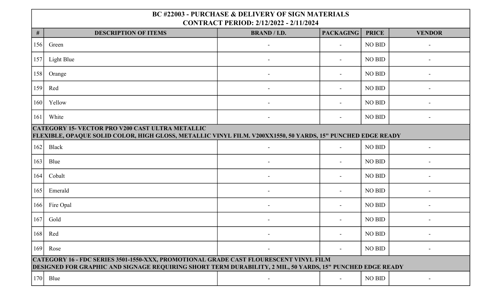| $\#$ | <b>DESCRIPTION OF ITEMS</b>                                                                                                                                                                        | <b>BRAND / I.D.</b>          | <b>PACKAGING</b>         | <b>PRICE</b>  | <b>VENDOR</b> |  |  |  |
|------|----------------------------------------------------------------------------------------------------------------------------------------------------------------------------------------------------|------------------------------|--------------------------|---------------|---------------|--|--|--|
| 156  | Green                                                                                                                                                                                              |                              |                          | <b>NO BID</b> |               |  |  |  |
| 157  | Light Blue                                                                                                                                                                                         |                              |                          | <b>NO BID</b> |               |  |  |  |
| 158  | Orange                                                                                                                                                                                             |                              |                          | <b>NO BID</b> |               |  |  |  |
| 159  | Red                                                                                                                                                                                                |                              |                          | <b>NO BID</b> |               |  |  |  |
| 160  | Yellow                                                                                                                                                                                             |                              |                          | <b>NO BID</b> |               |  |  |  |
| 161  | White                                                                                                                                                                                              | $\overline{a}$               | $\overline{\phantom{a}}$ | <b>NO BID</b> |               |  |  |  |
|      | <b>CATEGORY 15- VECTOR PRO V200 CAST ULTRA METALLIC</b><br>FLEXIBLE, OPAQUE SOLID COLOR, HIGH GLOSS, METALLIC VINYL FILM. V200XX1550, 50 YARDS, 15" PUNCHED EDGE READY                             |                              |                          |               |               |  |  |  |
| 162  | Black                                                                                                                                                                                              |                              |                          | <b>NO BID</b> |               |  |  |  |
| 163  | Blue                                                                                                                                                                                               |                              |                          | <b>NO BID</b> |               |  |  |  |
| 164  | Cobalt                                                                                                                                                                                             |                              |                          | <b>NO BID</b> |               |  |  |  |
| 165  | Emerald                                                                                                                                                                                            |                              |                          | NO BID        |               |  |  |  |
| 166  | Fire Opal                                                                                                                                                                                          |                              |                          | NO BID        |               |  |  |  |
| 167  | Gold                                                                                                                                                                                               |                              |                          | <b>NO BID</b> |               |  |  |  |
| 168  | Red                                                                                                                                                                                                | $\qquad \qquad \blacksquare$ |                          | NO BID        |               |  |  |  |
| 169  | Rose                                                                                                                                                                                               | $\blacksquare$               | $\sim$                   | <b>NO BID</b> |               |  |  |  |
|      | CATEGORY 16 - FDC SERIES 3501-1550-XXX, PROMOTIONAL GRADE CAST FLOURESCENT VINYL FILM<br>DESIGNED FOR GRAPHIC AND SIGNAGE REQUIRING SHORT TERM DURABILITY, 2 MIL, 50 YARDS, 15" PUNCHED EDGE READY |                              |                          |               |               |  |  |  |
| 170  | Blue                                                                                                                                                                                               |                              |                          | <b>NO BID</b> |               |  |  |  |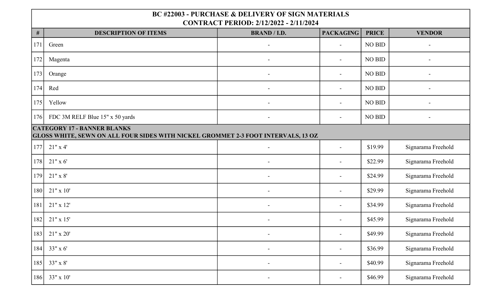| $\#$ | <b>DESCRIPTION OF ITEMS</b>                                                                                             | <b>BRAND / I.D.</b>      | <b>PACKAGING</b>         | <b>PRICE</b>  | <b>VENDOR</b>      |
|------|-------------------------------------------------------------------------------------------------------------------------|--------------------------|--------------------------|---------------|--------------------|
| 171  | Green                                                                                                                   |                          |                          | NO BID        |                    |
| 172  | Magenta                                                                                                                 |                          | $\blacksquare$           | NO BID        |                    |
| 173  | Orange                                                                                                                  |                          |                          | <b>NO BID</b> |                    |
| 174  | Red                                                                                                                     | $\overline{\phantom{a}}$ | $\blacksquare$           | <b>NO BID</b> |                    |
| 175  | Yellow                                                                                                                  | ÷.                       | $\blacksquare$           | <b>NO BID</b> |                    |
| 176  | FDC 3M RELF Blue 15" x 50 yards                                                                                         | $\overline{a}$           | $\overline{\phantom{0}}$ | NO BID        |                    |
|      | <b>CATEGORY 17 - BANNER BLANKS</b><br>GLOSS WHITE, SEWN ON ALL FOUR SIDES WITH NICKEL GROMMET 2-3 FOOT INTERVALS, 13 OZ |                          |                          |               |                    |
| 177  | 21" x 4'                                                                                                                | $\overline{a}$           | $\sim$                   | \$19.99       | Signarama Freehold |
| 178  | $21"$ x 6'                                                                                                              |                          |                          | \$22.99       | Signarama Freehold |
| 179  | $21"$ x 8'                                                                                                              |                          |                          | \$24.99       | Signarama Freehold |
| 180  | $21"$ x 10'                                                                                                             |                          | $\blacksquare$           | \$29.99       | Signarama Freehold |
| 181  | $21"$ x 12'                                                                                                             | $\blacksquare$           | $\overline{\phantom{a}}$ | \$34.99       | Signarama Freehold |
| 182  | $21"$ x 15'                                                                                                             | $\overline{a}$           | $\overline{a}$           | \$45.99       | Signarama Freehold |
| 183  | $21"$ x $20'$                                                                                                           | $\overline{\phantom{a}}$ |                          | \$49.99       | Signarama Freehold |
| 184  | 33" x 6'                                                                                                                | $\blacksquare$           | $\blacksquare$           | \$36.99       | Signarama Freehold |
| 185  | 33" x 8'                                                                                                                | $\blacksquare$           | $\blacksquare$           | \$40.99       | Signarama Freehold |
| 186  | 33" x 10'                                                                                                               | $\blacksquare$           | $\sim$                   | \$46.99       | Signarama Freehold |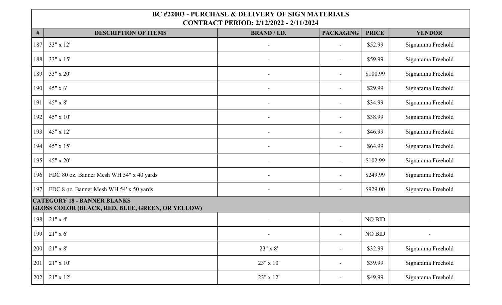| $\#$ | <b>DESCRIPTION OF ITEMS</b>                                                                   | <b>BRAND / I.D.</b> | <b>PACKAGING</b>         | <b>PRICE</b>  | <b>VENDOR</b>      |
|------|-----------------------------------------------------------------------------------------------|---------------------|--------------------------|---------------|--------------------|
| 187  | 33" x 12'                                                                                     |                     | $\blacksquare$           | \$52.99       | Signarama Freehold |
| 188  | 33" x 15'                                                                                     |                     | $\overline{\phantom{a}}$ | \$59.99       | Signarama Freehold |
| 189  | 33" x 20'                                                                                     |                     | $\overline{\phantom{a}}$ | \$100.99      | Signarama Freehold |
| 190  | 45" x 6'                                                                                      | $\overline{a}$      | $\blacksquare$           | \$29.99       | Signarama Freehold |
| 191  | 45" x 8'                                                                                      | $\overline{a}$      | $\overline{\phantom{a}}$ | \$34.99       | Signarama Freehold |
| 192  | $45" \times 10'$                                                                              | $\overline{a}$      | $\blacksquare$           | \$38.99       | Signarama Freehold |
| 193  | 45" x 12'                                                                                     | $\overline{a}$      | $\overline{a}$           | \$46.99       | Signarama Freehold |
| 194  | $45" \times 15'$                                                                              | $\overline{a}$      | $\blacksquare$           | \$64.99       | Signarama Freehold |
| 195  | 45" x 20'                                                                                     |                     | $\blacksquare$           | \$102.99      | Signarama Freehold |
| 196  | FDC 80 oz. Banner Mesh WH 54" x 40 yards                                                      |                     | $\blacksquare$           | \$249.99      | Signarama Freehold |
| 197  | FDC 8 oz. Banner Mesh WH 54' x 50 yards                                                       |                     |                          | \$929.00      | Signarama Freehold |
|      | <b>CATEGORY 18 - BANNER BLANKS</b><br><b>GLOSS COLOR (BLACK, RED, BLUE, GREEN, OR YELLOW)</b> |                     |                          |               |                    |
| 198  | $21"$ x 4'                                                                                    | $\blacksquare$      | $\blacksquare$           | NO BID        |                    |
| 199  | $21"$ x 6'                                                                                    |                     | $\blacksquare$           | <b>NO BID</b> |                    |
| 200  | $21" \times 8'$                                                                               | 23" x 8'            | $\overline{\phantom{a}}$ | \$32.99       | Signarama Freehold |
| 201  | $21" \times 10'$                                                                              | $23"$ x 10'         | $\blacksquare$           | \$39.99       | Signarama Freehold |
| 202  | $21"$ x 12'                                                                                   | 23" x 12'           | $\overline{\phantom{a}}$ | \$49.99       | Signarama Freehold |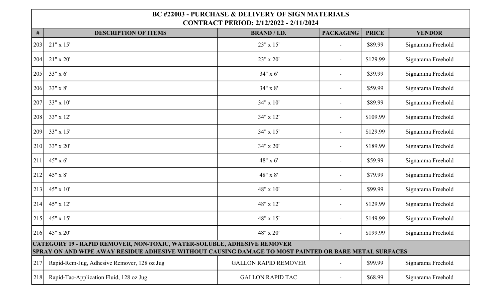| $\#$ | <b>DESCRIPTION OF ITEMS</b>                                                                                                                                                             | <b>BRAND / I.D.</b>         | <b>PACKAGING</b>         | <b>PRICE</b> | <b>VENDOR</b>      |  |  |
|------|-----------------------------------------------------------------------------------------------------------------------------------------------------------------------------------------|-----------------------------|--------------------------|--------------|--------------------|--|--|
| 203  | $21"$ x 15'                                                                                                                                                                             | 23" x 15'                   | $\blacksquare$           | \$89.99      | Signarama Freehold |  |  |
| 204  | $21"$ x $20'$                                                                                                                                                                           | 23" x 20'                   | $\blacksquare$           | \$129.99     | Signarama Freehold |  |  |
| 205  | 33" x 6'                                                                                                                                                                                | 34" x 6'                    | $\overline{\phantom{a}}$ | \$39.99      | Signarama Freehold |  |  |
| 206  | 33" x 8'                                                                                                                                                                                | 34" x 8'                    |                          | \$59.99      | Signarama Freehold |  |  |
| 207  | 33" x 10'                                                                                                                                                                               | 34" x 10'                   | $\overline{\phantom{a}}$ | \$89.99      | Signarama Freehold |  |  |
| 208  | 33" x 12'                                                                                                                                                                               | 34" x 12'                   | $\blacksquare$           | \$109.99     | Signarama Freehold |  |  |
| 209  | 33" x 15'                                                                                                                                                                               | 34" x 15'                   | $\overline{\phantom{a}}$ | \$129.99     | Signarama Freehold |  |  |
| 210  | 33" x 20'                                                                                                                                                                               | 34" x 20'                   |                          | \$189.99     | Signarama Freehold |  |  |
| 211  | 45" x 6'                                                                                                                                                                                | 48" x 6'                    | $\blacksquare$           | \$59.99      | Signarama Freehold |  |  |
| 212  | 45" x 8'                                                                                                                                                                                | 48" x 8'                    |                          | \$79.99      | Signarama Freehold |  |  |
| 213  | 45" x 10'                                                                                                                                                                               | 48" x 10'                   | $\blacksquare$           | \$99.99      | Signarama Freehold |  |  |
| 214  | 45" x 12'                                                                                                                                                                               | 48" x 12'                   |                          | \$129.99     | Signarama Freehold |  |  |
| 215  | 45" x 15"                                                                                                                                                                               | 48" x 15'                   | $\overline{\phantom{a}}$ | \$149.99     | Signarama Freehold |  |  |
| 216  | 45" x 20'                                                                                                                                                                               | 48" x 20'                   | $\blacksquare$           | \$199.99     | Signarama Freehold |  |  |
|      | <b>CATEGORY 19 - RAPID REMOVER, NON-TOXIC, WATER-SOLUBLE, ADHESIVE REMOVER</b><br>SPRAY ON AND WIPE AWAY RESIDUE ADHESIVE WITHOUT CAUSING DAMAGE TO MOST PAINTED OR BARE METAL SURFACES |                             |                          |              |                    |  |  |
| 217  | Rapid-Rem-Jug, Adhesive Remover, 128 oz Jug                                                                                                                                             | <b>GALLON RAPID REMOVER</b> | $\blacksquare$           | \$99.99      | Signarama Freehold |  |  |
| 218  | Rapid-Tac-Application Fluid, 128 oz Jug                                                                                                                                                 | <b>GALLON RAPID TAC</b>     |                          | \$68.99      | Signarama Freehold |  |  |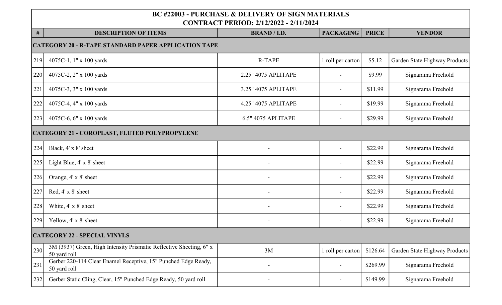| $\#$ | <b>DESCRIPTION OF ITEMS</b>                                                         | <b>BRAND / I.D.</b>       | <b>PACKAGING</b>         | <b>PRICE</b> | <b>VENDOR</b>                 |  |  |  |
|------|-------------------------------------------------------------------------------------|---------------------------|--------------------------|--------------|-------------------------------|--|--|--|
|      | <b>CATEGORY 20 - R-TAPE STANDARD PAPER APPLICATION TAPE</b>                         |                           |                          |              |                               |  |  |  |
| 219  | 4075C-1, 1" x 100 yards                                                             | <b>R-TAPE</b>             | 1 roll per carton        | \$5.12       | Garden State Highway Products |  |  |  |
| 220  | 4075C-2, 2" x 100 yards                                                             | 2.25" 4075 APLITAPE       |                          | \$9.99       | Signarama Freehold            |  |  |  |
| 221  | 4075C-3, 3" x 100 yards                                                             | 3.25" 4075 APLITAPE       | $\blacksquare$           | \$11.99      | Signarama Freehold            |  |  |  |
| 222  | 4075C-4, 4" x 100 yards                                                             | 4.25" 4075 APLITAPE       | $\overline{\phantom{0}}$ | \$19.99      | Signarama Freehold            |  |  |  |
| 223  | 4075C-6, 6" x 100 yards                                                             | <b>6.5" 4075 APLITAPE</b> | $\blacksquare$           | \$29.99      | Signarama Freehold            |  |  |  |
|      | <b>CATEGORY 21 - COROPLAST, FLUTED POLYPROPYLENE</b>                                |                           |                          |              |                               |  |  |  |
| 224  | Black, 4' x 8' sheet                                                                |                           |                          | \$22.99      | Signarama Freehold            |  |  |  |
| 225  | Light Blue, 4' x 8' sheet                                                           |                           |                          | \$22.99      | Signarama Freehold            |  |  |  |
| 226  | Orange, 4' x 8' sheet                                                               |                           |                          | \$22.99      | Signarama Freehold            |  |  |  |
| 227  | Red, 4' x 8' sheet                                                                  |                           | $\overline{\phantom{a}}$ | \$22.99      | Signarama Freehold            |  |  |  |
| 228  | White, 4' x 8' sheet                                                                |                           |                          | \$22.99      | Signarama Freehold            |  |  |  |
| 229  | Yellow, 4' x 8' sheet                                                               | $\overline{a}$            |                          | \$22.99      | Signarama Freehold            |  |  |  |
|      | <b>CATEGORY 22 - SPECIAL VINYLS</b>                                                 |                           |                          |              |                               |  |  |  |
| 230  | 3M (3937) Green, High Intensity Prismatic Reflective Sheeting, 6" x<br>50 yard roll | 3M                        | 1 roll per carton        | \$126.64     | Garden State Highway Products |  |  |  |
| 231  | Gerber 220-114 Clear Enamel Receptive, 15" Punched Edge Ready,<br>50 yard roll      |                           |                          | \$269.99     | Signarama Freehold            |  |  |  |
| 232  | Gerber Static Cling, Clear, 15" Punched Edge Ready, 50 yard roll                    |                           |                          | \$149.99     | Signarama Freehold            |  |  |  |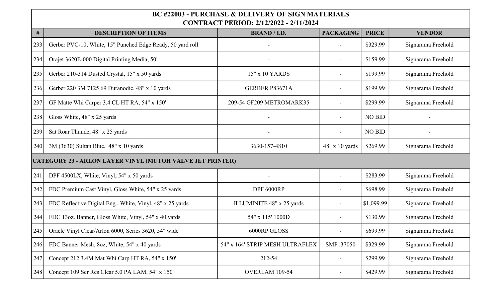| $\#$ | <b>DESCRIPTION OF ITEMS</b>                                      | <b>BRAND / I.D.</b>             | <b>PACKAGING</b>      | <b>PRICE</b>  | <b>VENDOR</b>      |  |  |  |
|------|------------------------------------------------------------------|---------------------------------|-----------------------|---------------|--------------------|--|--|--|
| 233  | Gerber PVC-10, White, 15" Punched Edge Ready, 50 yard roll       |                                 |                       | \$329.99      | Signarama Freehold |  |  |  |
| 234  | Orajet 3620E-000 Digital Printing Media, 50"                     |                                 |                       | \$159.99      | Signarama Freehold |  |  |  |
| 235  | Gerber 210-314 Dusted Crystal, 15" x 50 yards                    | 15" x 10 YARDS                  |                       | \$199.99      | Signarama Freehold |  |  |  |
| 236  | Gerber 220 3M 7125 69 Duranodic, 48" x 10 yards                  | GERBER P83671A                  |                       | \$199.99      | Signarama Freehold |  |  |  |
| 237  | GF Matte Whi Carper 3.4 CL HT RA, 54" x 150'                     | 209-54 GF209 METROMARK35        |                       | \$299.99      | Signarama Freehold |  |  |  |
| 238  | Gloss White, 48" x 25 yards                                      |                                 |                       | <b>NO BID</b> |                    |  |  |  |
| 239  | Sat Roar Thunde, 48" x 25 yards                                  |                                 |                       | <b>NO BID</b> |                    |  |  |  |
| 240  | 3M (3630) Sultan Blue, 48" x 10 yards                            | 3630-157-4810                   | $48" \times 10$ yards | \$269.99      | Signarama Freehold |  |  |  |
|      | <b>CATEGORY 23 - ARLON LAYER VINYL (MUTOH VALVE JET PRINTER)</b> |                                 |                       |               |                    |  |  |  |
| 241  | DPF 4500LX, White, Vinyl, 54" x 50 yards                         |                                 | $\blacksquare$        | \$283.99      | Signarama Freehold |  |  |  |
| 242  | FDC Premium Cast Vinyl, Gloss White, 54" x 25 yards              | DPF 6000RP                      |                       | \$698.99      | Signarama Freehold |  |  |  |
| 243  | FDC Reflective Digital Eng., White, Vinyl, 48" x 25 yards        | ILLUMINITE 48" x 25 yards       |                       | \$1,099.99    | Signarama Freehold |  |  |  |
| 244  | FDC 13oz. Banner, Gloss White, Vinyl, 54" x 40 yards             | 54" x 115' 1000D                |                       | \$130.99      | Signarama Freehold |  |  |  |
| 245  | Oracle Vinyl Clear/Arlon 6000, Series 3620, 54" wide             | 6000RP GLOSS                    |                       | \$699.99      | Signarama Freehold |  |  |  |
| 246  | FDC Banner Mesh, 8oz, White, 54" x 40 yards                      | 54" x 164' STRIP MESH ULTRAFLEX | SMP137050             | \$329.99      | Signarama Freehold |  |  |  |
| 247  | Concept 212 3.4M Mat Whi Carp HT RA, 54" x 150'                  | 212-54                          |                       | \$299.99      | Signarama Freehold |  |  |  |
| 248  | Concept 109 Scr Res Clear 5.0 PA LAM, 54" x 150'                 | OVERLAM 109-54                  |                       | \$429.99      | Signarama Freehold |  |  |  |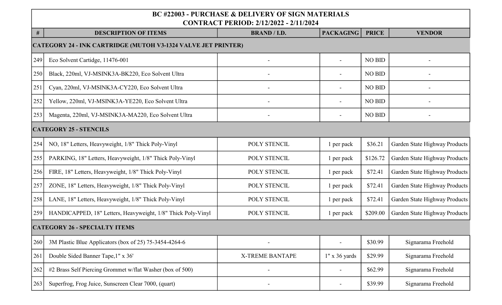|                                                                      | <u> CONTINACT I ENIOD. 2/12/2022 - 2/11/2024</u>             |                        |                          |               |                               |  |  |
|----------------------------------------------------------------------|--------------------------------------------------------------|------------------------|--------------------------|---------------|-------------------------------|--|--|
| #                                                                    | <b>DESCRIPTION OF ITEMS</b>                                  | <b>BRAND / I.D.</b>    | <b>PACKAGING</b>         | <b>PRICE</b>  | <b>VENDOR</b>                 |  |  |
| <b>CATEGORY 24 - INK CARTRIDGE (MUTOH V3-1324 VALVE JET PRINTER)</b> |                                                              |                        |                          |               |                               |  |  |
| 249                                                                  | Eco Solvent Cartidge, 11476-001                              |                        |                          | <b>NO BID</b> |                               |  |  |
| 250                                                                  | Black, 220ml, VJ-MSINK3A-BK220, Eco Solvent Ultra            |                        |                          | NO BID        |                               |  |  |
| 251                                                                  | Cyan, 220ml, VJ-MSINK3A-CY220, Eco Solvent Ultra             |                        |                          | <b>NO BID</b> |                               |  |  |
| 252                                                                  | Yellow, 220ml, VJ-MSINK3A-YE220, Eco Solvent Ultra           |                        |                          | <b>NO BID</b> |                               |  |  |
| 253                                                                  | Magenta, 220ml, VJ-MSINK3A-MA220, Eco Solvent Ultra          |                        | $\overline{\phantom{a}}$ | NO BID        |                               |  |  |
|                                                                      | <b>CATEGORY 25 - STENCILS</b>                                |                        |                          |               |                               |  |  |
| 254                                                                  | NO, 18" Letters, Heavyweight, 1/8" Thick Poly-Vinyl          | POLY STENCIL           | 1 per pack               | \$36.21       | Garden State Highway Products |  |  |
| 255                                                                  | PARKING, 18" Letters, Heavyweight, 1/8" Thick Poly-Vinyl     | POLY STENCIL           | 1 per pack               | \$126.72      | Garden State Highway Products |  |  |
| 256                                                                  | FIRE, 18" Letters, Heavyweight, 1/8" Thick Poly-Vinyl        | POLY STENCIL           | 1 per pack               | \$72.41       | Garden State Highway Products |  |  |
| 257                                                                  | ZONE, 18" Letters, Heavyweight, 1/8" Thick Poly-Vinyl        | POLY STENCIL           | 1 per pack               | \$72.41       | Garden State Highway Products |  |  |
| 258                                                                  | LANE, 18" Letters, Heavyweight, 1/8" Thick Poly-Vinyl        | POLY STENCIL           | 1 per pack               | \$72.41       | Garden State Highway Products |  |  |
| 259                                                                  | HANDICAPPED, 18" Letters, Heavyweight, 1/8" Thick Poly-Vinyl | POLY STENCIL           | 1 per pack               | \$209.00      | Garden State Highway Products |  |  |
|                                                                      | <b>CATEGORY 26 - SPECIALTY ITEMS</b>                         |                        |                          |               |                               |  |  |
| 260                                                                  | 3M Plastic Blue Applicators (box of 25) 75-3454-4264-6       |                        |                          | \$30.99       | Signarama Freehold            |  |  |
| 261                                                                  | Double Sided Banner Tape, 1" x 36'                           | <b>X-TREME BANTAPE</b> | $1"$ x 36 yards          | \$29.99       | Signarama Freehold            |  |  |
| 262                                                                  | #2 Brass Self Piercing Grommet w/flat Washer (box of 500)    |                        |                          | \$62.99       | Signarama Freehold            |  |  |
| 263                                                                  | Superfrog, Frog Juice, Sunscreen Clear 7000, (quart)         |                        |                          | \$39.99       | Signarama Freehold            |  |  |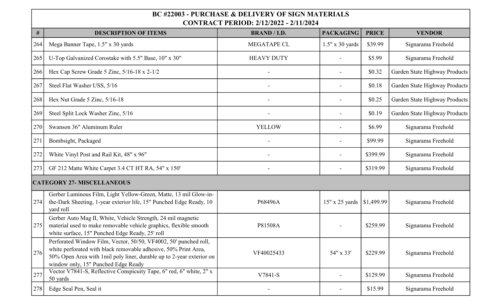| $\#$ | <b>DESCRIPTION OF ITEMS</b>                                                                                                                                                                                                                        | <b>BRAND / I.D.</b> | <b>PACKAGING</b>       | <b>PRICE</b> | <b>VENDOR</b>                 |
|------|----------------------------------------------------------------------------------------------------------------------------------------------------------------------------------------------------------------------------------------------------|---------------------|------------------------|--------------|-------------------------------|
| 264  | Mega Banner Tape, 1.5" x 30 yards                                                                                                                                                                                                                  | MEGATAPE CL         | $1.5" \times 30$ yards | \$39.99      | Signarama Freehold            |
| 265  | U-Top Galvanized Corostake with 5.5" Base, 10" x 30"                                                                                                                                                                                               | <b>HEAVY DUTY</b>   |                        | \$5.99       | Signarama Freehold            |
| 266  | Hex Cap Screw Grade 5 Zinc, $5/16-18 \times 2-1/2$                                                                                                                                                                                                 |                     |                        | \$0.32       | Garden State Highway Products |
| 267  | Steel Flat Washer USS, 5/16                                                                                                                                                                                                                        |                     |                        | \$0.18       | Garden State Highway Products |
| 268  | Hex Nut Grade 5 Zinc, 5/16-18                                                                                                                                                                                                                      |                     |                        | \$0.25       | Garden State Highway Products |
| 269  | Steel Split Lock Washer Zinc, 5/16                                                                                                                                                                                                                 |                     |                        | \$0.19       | Garden State Highway Products |
| 270  | Swanson 36" Aluminum Ruler                                                                                                                                                                                                                         | <b>YELLOW</b>       |                        | \$6.99       | Signarama Freehold            |
| 271  | Bombsight, Packaged                                                                                                                                                                                                                                |                     |                        | \$99.99      | Signarama Freehold            |
| 272  | White Vinyl Post and Rail Kit, 48" x 96"                                                                                                                                                                                                           |                     |                        | \$399.99     | Signarama Freehold            |
| 273  | GF 212 Matte White Carpet 3.4 CT HT RA, 54" x 150'                                                                                                                                                                                                 |                     |                        | \$319.99     | Signarama Freehold            |
|      | <b>CATEGORY 27- MISCELLANEOUS</b>                                                                                                                                                                                                                  |                     |                        |              |                               |
| 274  | Gerber Luminous Film, Light Yellow-Green, Matte, 13 mil Glow-in-<br>the-Dark Sheeting, 1-year exterior life, 15" Punched Edge Ready, 10<br>yard roll                                                                                               | P68496A             | $15" \times 25$ yards  | \$1,499.99   | Signarama Freehold            |
| 275  | Gerber Auto Mag II, White, Vehicle Strength, 24 mil magnetic<br>material used to make removable vehicle graphics, flexible smooth<br>white surface, 15" Punched Edge Ready, 25' roll                                                               | P81508A             |                        | \$259.99     | Signarama Freehold            |
| 276  | Perforated Window Film, Vector, 50/50, VF4002, 50' punched roll,<br>white perforated with black removable adhesive, 50% Print Area.<br>50% Open Area with 1mil poly liner, durable up to 2-year exterior on<br>window only, 15" Punched Edge Ready | VF40025433          | 54" x 33'              | \$229.99     | Signarama Freehold            |
| 277  | Vector V7841-S, Reflective Conspicuity Tape, 6" red, 6" white, 2" x<br>50 yards                                                                                                                                                                    | V7841-S             |                        | \$129.99     | Signarama Freehold            |
| 278  | Edge Seal Pen, Seal it                                                                                                                                                                                                                             |                     |                        | \$15.99      | Signarama Freehold            |